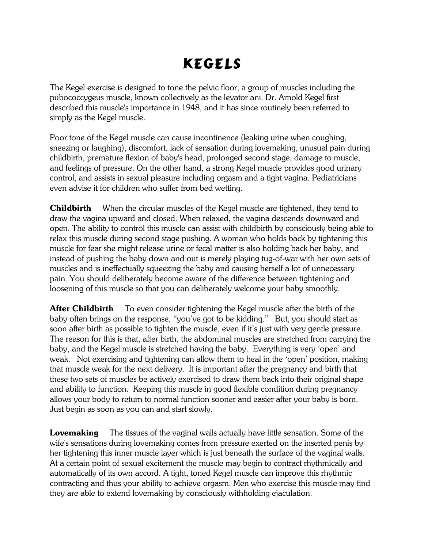## Kegels

The Kegel exercise is designed to tone the pelvic floor, a group of muscles including the pubococcygeus muscle, known collectively as the levator ani. Dr. Arnold Kegel first described this muscle's importance in 1948, and it has since routinely been referred to simply as the Kegel muscle.

Poor tone of the Kegel muscle can cause incontinence (leaking urine when coughing, sneezing or laughing), discomfort, lack of sensation during lovemaking, unusual pain during childbirth, premature flexion of baby's head, prolonged second stage, damage to muscle, and feelings of pressure. On the other hand, a strong Kegel muscle provides good urinary control, and assists in sexual pleasure including orgasm and a tight vagina. Pediatricians even advise it for children who suffer from bed wetting.

**Childbirth** When the circular muscles of the Kegel muscle are tightened, they tend to draw the vagina upward and closed. When relaxed, the vagina descends downward and open. The ability to control this muscle can assist with childbirth by consciously being able to relax this muscle during second stage pushing. A woman who holds back by tightening this muscle for fear she might release urine or fecal matter is also holding back her baby, and instead of pushing the baby down and out is merely playing tug-of-war with her own sets of muscles and is ineffectually squeezing the baby and causing herself a lot of unnecessary pain. You should deliberately become aware of the difference between tightening and loosening of this muscle so that you can deliberately welcome your baby smoothly.

**After Childbirth** To even consider tightening the Kegel muscle after the birth of the baby often brings on the response, "you've got to be kidding." But, you should start as soon after birth as possible to tighten the muscle, even if it's just with very gentle pressure. The reason for this is that, after birth, the abdominal muscles are stretched from carrying the baby, and the Kegel muscle is stretched having the baby. Everything is very 'open' and weak. Not exercising and tightening can allow them to heal in the 'open' position, making that muscle weak for the next delivery. It is important after the pregnancy and birth that these two sets of muscles be actively exercised to draw them back into their original shape and ability to function. Keeping this muscle in good flexible condition during pregnancy allows your body to return to normal function sooner and easier after your baby is born. Just begin as soon as you can and start slowly.

**Lovemaking** The tissues of the vaginal walls actually have little sensation. Some of the wife's sensations during lovemaking comes from pressure exerted on the inserted penis by her tightening this inner muscle layer which is just beneath the surface of the vaginal walls. At a certain point of sexual excitement the muscle may begin to contract rhythmically and automatically of its own accord. A tight, toned Kegel muscle can improve this rhythmic contracting and thus your ability to achieve orgasm. Men who exercise this muscle may find they are able to extend lovemaking by consciously withholding ejaculation.